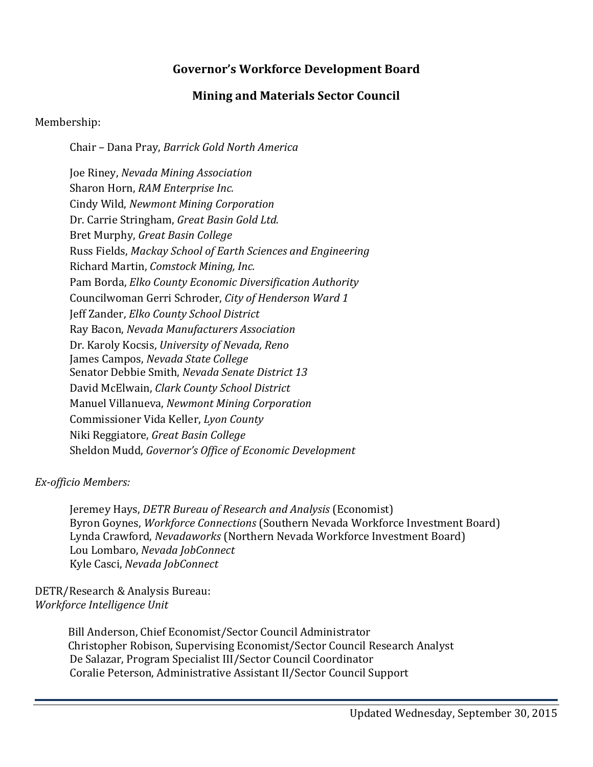## **Governor's Workforce Development Board**

## **Mining and Materials Sector Council**

## Membership:

Chair – Dana Pray, *Barrick Gold North America*

Joe Riney, *Nevada Mining Association* Sharon Horn, *RAM Enterprise Inc.* Cindy Wild, *Newmont Mining Corporation* Dr. Carrie Stringham, *Great Basin Gold Ltd.* Bret Murphy, *Great Basin College* Russ Fields, *Mackay School of Earth Sciences and Engineering* Richard Martin, *Comstock Mining, Inc.* Pam Borda, *Elko County Economic Diversification Authority* Councilwoman Gerri Schroder, *City of Henderson Ward 1* Jeff Zander, *Elko County School District* Ray Bacon, *Nevada Manufacturers Association* Dr. Karoly Kocsis, *University of Nevada, Reno* James Campos, *Nevada State College* Senator Debbie Smith, *Nevada Senate District 13* David McElwain, *Clark County School District* Manuel Villanueva, *Newmont Mining Corporation* Commissioner Vida Keller, *Lyon County* Niki Reggiatore, *Great Basin College* Sheldon Mudd, *Governor's Office of Economic Development*

## *Ex-officio Members:*

Jeremey Hays, *DETR Bureau of Research and Analysis* (Economist) Byron Goynes, *Workforce Connections* (Southern Nevada Workforce Investment Board) Lynda Crawford, *Nevadaworks* (Northern Nevada Workforce Investment Board) Lou Lombaro, *Nevada JobConnect* Kyle Casci, *Nevada JobConnect*

DETR/Research & Analysis Bureau: *Workforce Intelligence Unit*

> Bill Anderson, Chief Economist/Sector Council Administrator Christopher Robison, Supervising Economist/Sector Council Research Analyst De Salazar, Program Specialist III/Sector Council Coordinator Coralie Peterson, Administrative Assistant II/Sector Council Support